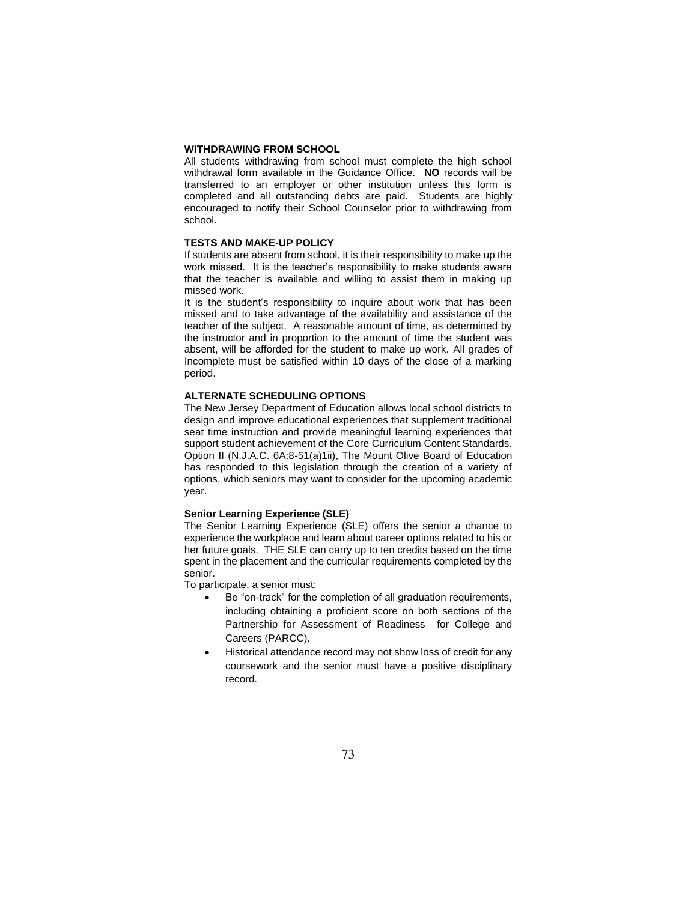#### **WITHDRAWING FROM SCHOOL**

All students withdrawing from school must complete the high school withdrawal form available in the Guidance Office. **NO** records will be transferred to an employer or other institution unless this form is completed and all outstanding debts are paid. Students are highly encouraged to notify their School Counselor prior to withdrawing from school.

### **TESTS AND MAKE-UP POLICY**

If students are absent from school, it is their responsibility to make up the work missed. It is the teacher's responsibility to make students aware that the teacher is available and willing to assist them in making up missed work.

It is the student's responsibility to inquire about work that has been missed and to take advantage of the availability and assistance of the teacher of the subject. A reasonable amount of time, as determined by the instructor and in proportion to the amount of time the student was absent, will be afforded for the student to make up work. All grades of Incomplete must be satisfied within 10 days of the close of a marking period.

### **ALTERNATE SCHEDULING OPTIONS**

The New Jersey Department of Education allows local school districts to design and improve educational experiences that supplement traditional seat time instruction and provide meaningful learning experiences that support student achievement of the Core Curriculum Content Standards. Option II (N.J.A.C. 6A:8-51(a)1ii), The Mount Olive Board of Education has responded to this legislation through the creation of a variety of options, which seniors may want to consider for the upcoming academic year.

#### **Senior Learning Experience (SLE)**

The Senior Learning Experience (SLE) offers the senior a chance to experience the workplace and learn about career options related to his or her future goals. THE SLE can carry up to ten credits based on the time spent in the placement and the curricular requirements completed by the senior.

To participate, a senior must:

- Be "on-track" for the completion of all graduation requirements, including obtaining a proficient score on both sections of the Partnership for Assessment of Readiness for College and Careers (PARCC).
- Historical attendance record may not show loss of credit for any coursework and the senior must have a positive disciplinary record.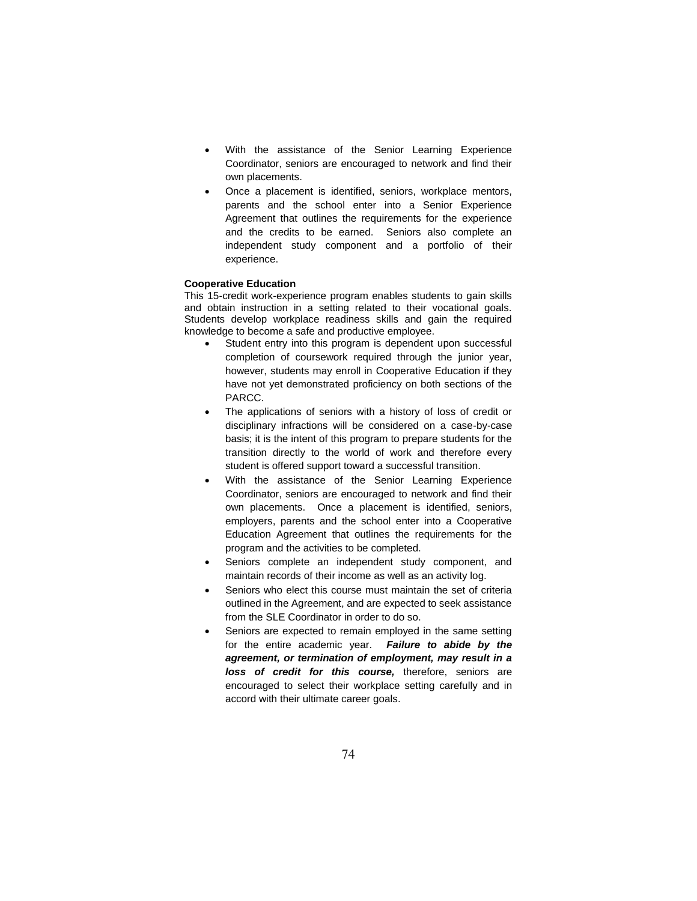- With the assistance of the Senior Learning Experience Coordinator, seniors are encouraged to network and find their own placements.
- Once a placement is identified, seniors, workplace mentors, parents and the school enter into a Senior Experience Agreement that outlines the requirements for the experience and the credits to be earned. Seniors also complete an independent study component and a portfolio of their experience.

## **Cooperative Education**

This 15-credit work-experience program enables students to gain skills and obtain instruction in a setting related to their vocational goals. Students develop workplace readiness skills and gain the required knowledge to become a safe and productive employee.

- Student entry into this program is dependent upon successful completion of coursework required through the junior year, however, students may enroll in Cooperative Education if they have not yet demonstrated proficiency on both sections of the PARCC.
- The applications of seniors with a history of loss of credit or disciplinary infractions will be considered on a case-by-case basis; it is the intent of this program to prepare students for the transition directly to the world of work and therefore every student is offered support toward a successful transition.
- With the assistance of the Senior Learning Experience Coordinator, seniors are encouraged to network and find their own placements. Once a placement is identified, seniors, employers, parents and the school enter into a Cooperative Education Agreement that outlines the requirements for the program and the activities to be completed.
- Seniors complete an independent study component, and maintain records of their income as well as an activity log.
- Seniors who elect this course must maintain the set of criteria outlined in the Agreement, and are expected to seek assistance from the SLE Coordinator in order to do so.
- Seniors are expected to remain employed in the same setting for the entire academic year. *Failure to abide by the agreement, or termination of employment, may result in a loss of credit for this course,* therefore, seniors are encouraged to select their workplace setting carefully and in accord with their ultimate career goals.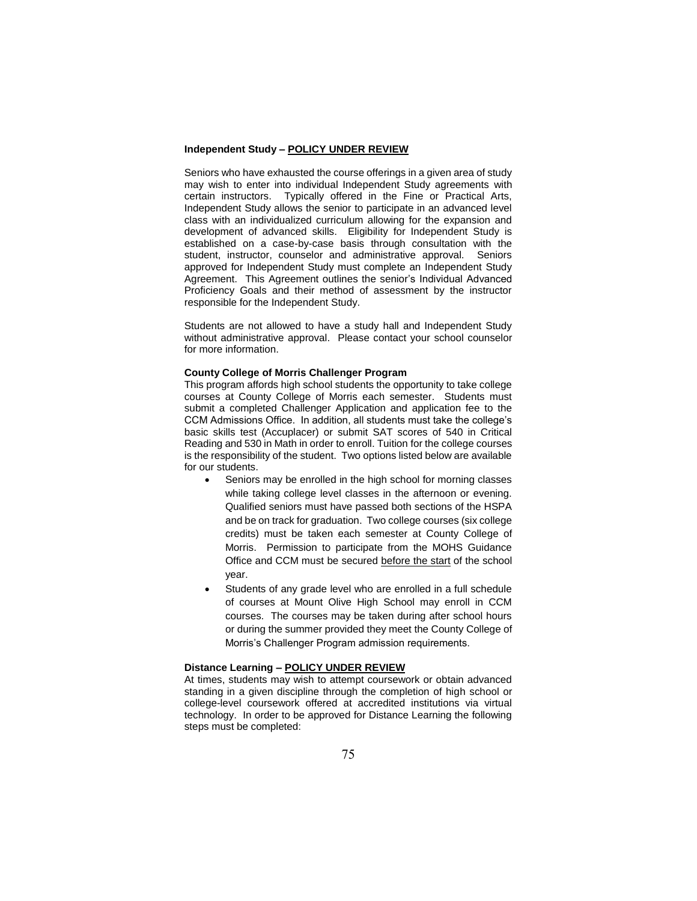## **Independent Study – POLICY UNDER REVIEW**

Seniors who have exhausted the course offerings in a given area of study may wish to enter into individual Independent Study agreements with certain instructors. Typically offered in the Fine or Practical Arts, Independent Study allows the senior to participate in an advanced level class with an individualized curriculum allowing for the expansion and development of advanced skills. Eligibility for Independent Study is established on a case-by-case basis through consultation with the student, instructor, counselor and administrative approval. Seniors approved for Independent Study must complete an Independent Study Agreement. This Agreement outlines the senior's Individual Advanced Proficiency Goals and their method of assessment by the instructor responsible for the Independent Study.

Students are not allowed to have a study hall and Independent Study without administrative approval. Please contact your school counselor for more information.

#### **County College of Morris Challenger Program**

This program affords high school students the opportunity to take college courses at County College of Morris each semester. Students must submit a completed Challenger Application and application fee to the CCM Admissions Office. In addition, all students must take the college's basic skills test (Accuplacer) or submit SAT scores of 540 in Critical Reading and 530 in Math in order to enroll. Tuition for the college courses is the responsibility of the student. Two options listed below are available for our students.

- Seniors may be enrolled in the high school for morning classes while taking college level classes in the afternoon or evening. Qualified seniors must have passed both sections of the HSPA and be on track for graduation. Two college courses (six college credits) must be taken each semester at County College of Morris. Permission to participate from the MOHS Guidance Office and CCM must be secured before the start of the school year.
- Students of any grade level who are enrolled in a full schedule of courses at Mount Olive High School may enroll in CCM courses. The courses may be taken during after school hours or during the summer provided they meet the County College of Morris's Challenger Program admission requirements.

#### **Distance Learning – POLICY UNDER REVIEW**

At times, students may wish to attempt coursework or obtain advanced standing in a given discipline through the completion of high school or college-level coursework offered at accredited institutions via virtual technology. In order to be approved for Distance Learning the following steps must be completed: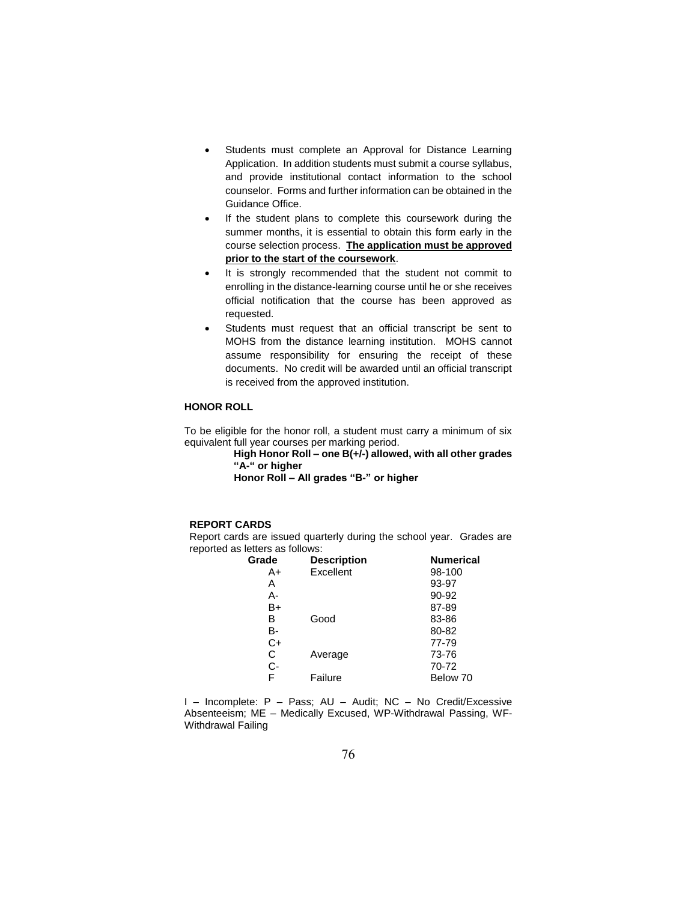- Students must complete an Approval for Distance Learning Application. In addition students must submit a course syllabus, and provide institutional contact information to the school counselor. Forms and further information can be obtained in the Guidance Office.
- If the student plans to complete this coursework during the summer months, it is essential to obtain this form early in the course selection process. **The application must be approved prior to the start of the coursework**.
- It is strongly recommended that the student not commit to enrolling in the distance-learning course until he or she receives official notification that the course has been approved as requested.
- Students must request that an official transcript be sent to MOHS from the distance learning institution. MOHS cannot assume responsibility for ensuring the receipt of these documents. No credit will be awarded until an official transcript is received from the approved institution.

# **HONOR ROLL**

To be eligible for the honor roll, a student must carry a minimum of six equivalent full year courses per marking period.

**High Honor Roll – one B(+/-) allowed, with all other grades "A-" or higher**

 **Honor Roll – All grades "B-" or higher**

# **REPORT CARDS**

Report cards are issued quarterly during the school year. Grades are reported as letters as follows:

| Grade | <b>Description</b> | <b>Numerical</b> |
|-------|--------------------|------------------|
| A+    | Excellent          | 98-100           |
| A     |                    | 93-97            |
| А-    |                    | 90-92            |
| B+    |                    | 87-89            |
| в     | Good               | 83-86            |
| в-    |                    | 80-82            |
| $C+$  |                    | 77-79            |
| С     | Average            | 73-76            |
| C-    |                    | 70-72            |
| F     | Failure            | Below 70         |

I – Incomplete: P – Pass; AU – Audit; NC – No Credit/Excessive Absenteeism; ME – Medically Excused, WP-Withdrawal Passing, WF-Withdrawal Failing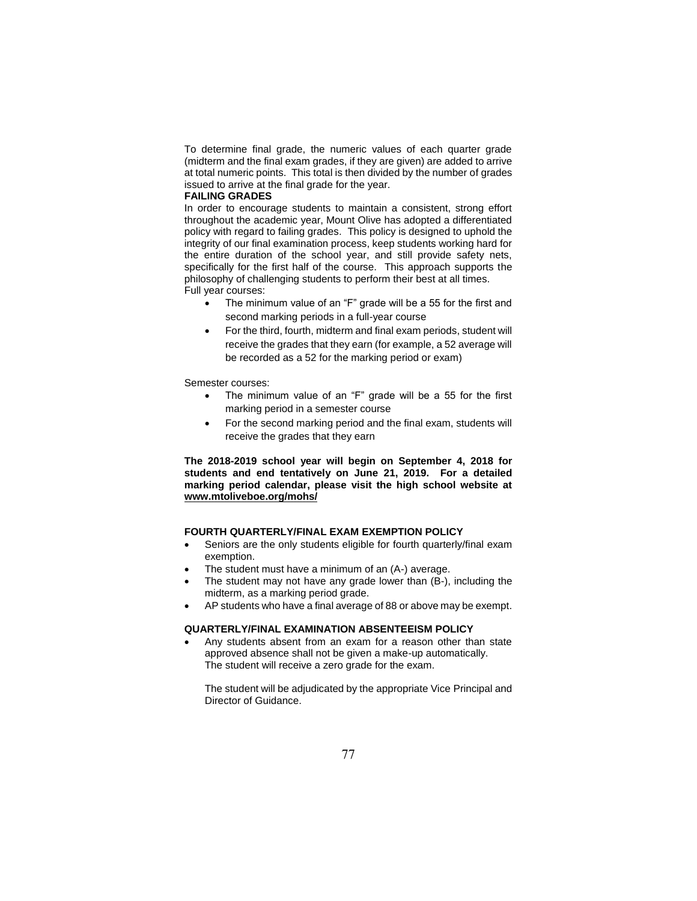To determine final grade, the numeric values of each quarter grade (midterm and the final exam grades, if they are given) are added to arrive at total numeric points. This total is then divided by the number of grades issued to arrive at the final grade for the year.

#### **FAILING GRADES**

In order to encourage students to maintain a consistent, strong effort throughout the academic year, Mount Olive has adopted a differentiated policy with regard to failing grades. This policy is designed to uphold the integrity of our final examination process, keep students working hard for the entire duration of the school year, and still provide safety nets, specifically for the first half of the course. This approach supports the philosophy of challenging students to perform their best at all times. Full year courses:

- The minimum value of an "F" grade will be a 55 for the first and second marking periods in a full-year course
- For the third, fourth, midterm and final exam periods, student will receive the grades that they earn (for example, a 52 average will be recorded as a 52 for the marking period or exam)

#### Semester courses:

- The minimum value of an "F" grade will be a 55 for the first marking period in a semester course
- For the second marking period and the final exam, students will receive the grades that they earn

**The 2018-2019 school year will begin on September 4, 2018 for students and end tentatively on June 21, 2019. For a detailed marking period calendar, please visit the high school website at www.mtoliveboe.org/mohs/**

# **FOURTH QUARTERLY/FINAL EXAM EXEMPTION POLICY**

- Seniors are the only students eligible for fourth quarterly/final exam exemption.
- The student must have a minimum of an (A-) average.
- The student may not have any grade lower than (B-), including the midterm, as a marking period grade.
- AP students who have a final average of 88 or above may be exempt.

## **QUARTERLY/FINAL EXAMINATION ABSENTEEISM POLICY**

 Any students absent from an exam for a reason other than state approved absence shall not be given a make-up automatically. The student will receive a zero grade for the exam.

The student will be adjudicated by the appropriate Vice Principal and Director of Guidance.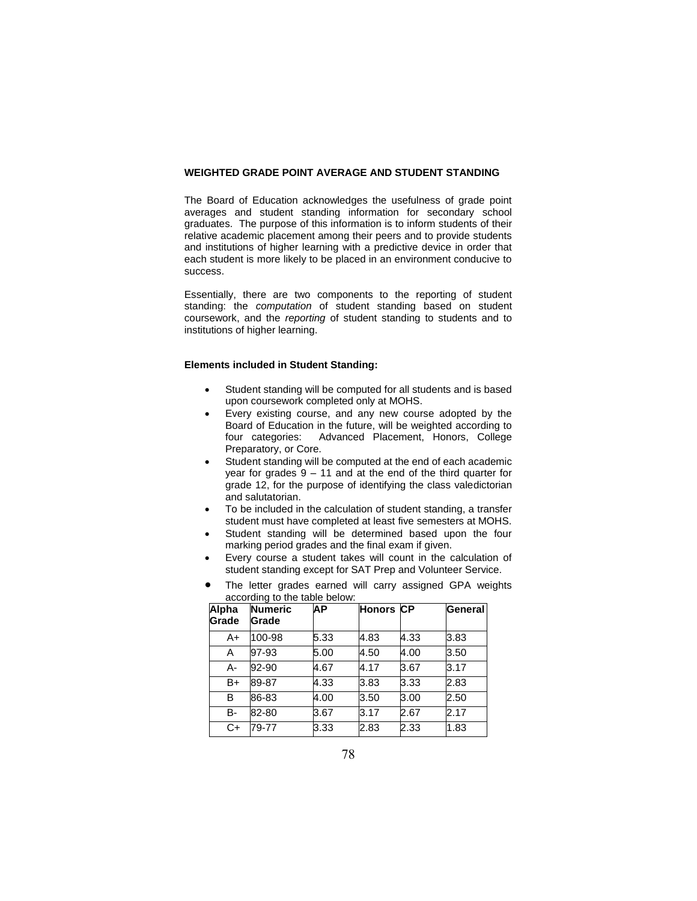# **WEIGHTED GRADE POINT AVERAGE AND STUDENT STANDING**

The Board of Education acknowledges the usefulness of grade point averages and student standing information for secondary school graduates. The purpose of this information is to inform students of their relative academic placement among their peers and to provide students and institutions of higher learning with a predictive device in order that each student is more likely to be placed in an environment conducive to success.

Essentially, there are two components to the reporting of student standing: the *computation* of student standing based on student coursework, and the *reporting* of student standing to students and to institutions of higher learning.

# **Elements included in Student Standing:**

- Student standing will be computed for all students and is based upon coursework completed only at MOHS.
- Every existing course, and any new course adopted by the Board of Education in the future, will be weighted according to four categories: Advanced Placement, Honors, College Advanced Placement, Honors, College Preparatory, or Core.
- Student standing will be computed at the end of each academic year for grades  $9 - 11$  and at the end of the third quarter for grade 12, for the purpose of identifying the class valedictorian and salutatorian.
- To be included in the calculation of student standing, a transfer student must have completed at least five semesters at MOHS.
- Student standing will be determined based upon the four marking period grades and the final exam if given.
- Every course a student takes will count in the calculation of student standing except for SAT Prep and Volunteer Service.
- The letter grades earned will carry assigned GPA weights according to the table below:

| Alpha<br>Grade | <b>Numeric</b><br>Grade | AР   | <b>Honors CP</b> |      | General |
|----------------|-------------------------|------|------------------|------|---------|
| A+             | 100-98                  | 5.33 | 4.83             | 4.33 | 3.83    |
| Α              | 97-93                   | 5.00 | 4.50             | 4.00 | 3.50    |
| А-             | 92-90                   | 4.67 | 4.17             | 3.67 | 3.17    |
| B+             | 89-87                   | 4.33 | 3.83             | 3.33 | 2.83    |
| B              | 86-83                   | 4.00 | 3.50             | 3.00 | 2.50    |
| B-             | 82-80                   | 3.67 | 3.17             | 2.67 | 2.17    |
| C+             | 79-77                   | 3.33 | 2.83             | 2.33 | 1.83    |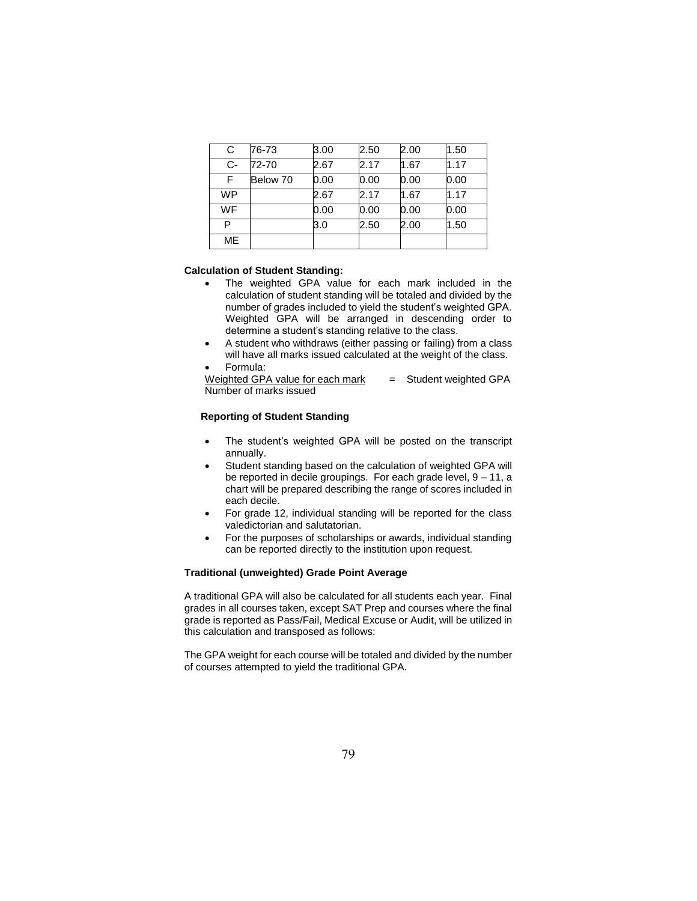| С         | 76-73    | 3.00 | 2.50 | 2.00 | 1.50 |
|-----------|----------|------|------|------|------|
| $C-$      | 72-70    | 2.67 | 2.17 | 1.67 | 1.17 |
| F         | Below 70 | 0.00 | 0.00 | 0.00 | 0.00 |
| <b>WP</b> |          | 2.67 | 2.17 | 1.67 | 1.17 |
| <b>WF</b> |          | 0.00 | 0.00 | 0.00 | 0.00 |
| P         |          | 3.0  | 2.50 | 2.00 | 1.50 |
| <b>ME</b> |          |      |      |      |      |

### **Calculation of Student Standing:**

- The weighted GPA value for each mark included in the calculation of student standing will be totaled and divided by the number of grades included to yield the student's weighted GPA. Weighted GPA will be arranged in descending order to determine a student's standing relative to the class.
- A student who withdraws (either passing or failing) from a class will have all marks issued calculated at the weight of the class.
- Formula:

Weighted GPA value for each mark  $=$  Student weighted GPA Number of marks issued

# **Reporting of Student Standing**

- The student's weighted GPA will be posted on the transcript annually.
- Student standing based on the calculation of weighted GPA will be reported in decile groupings. For each grade level, 9 – 11, a chart will be prepared describing the range of scores included in each decile.
- For grade 12, individual standing will be reported for the class valedictorian and salutatorian.
- For the purposes of scholarships or awards, individual standing can be reported directly to the institution upon request.

## **Traditional (unweighted) Grade Point Average**

A traditional GPA will also be calculated for all students each year. Final grades in all courses taken, except SAT Prep and courses where the final grade is reported as Pass/Fail, Medical Excuse or Audit, will be utilized in this calculation and transposed as follows:

The GPA weight for each course will be totaled and divided by the number of courses attempted to yield the traditional GPA.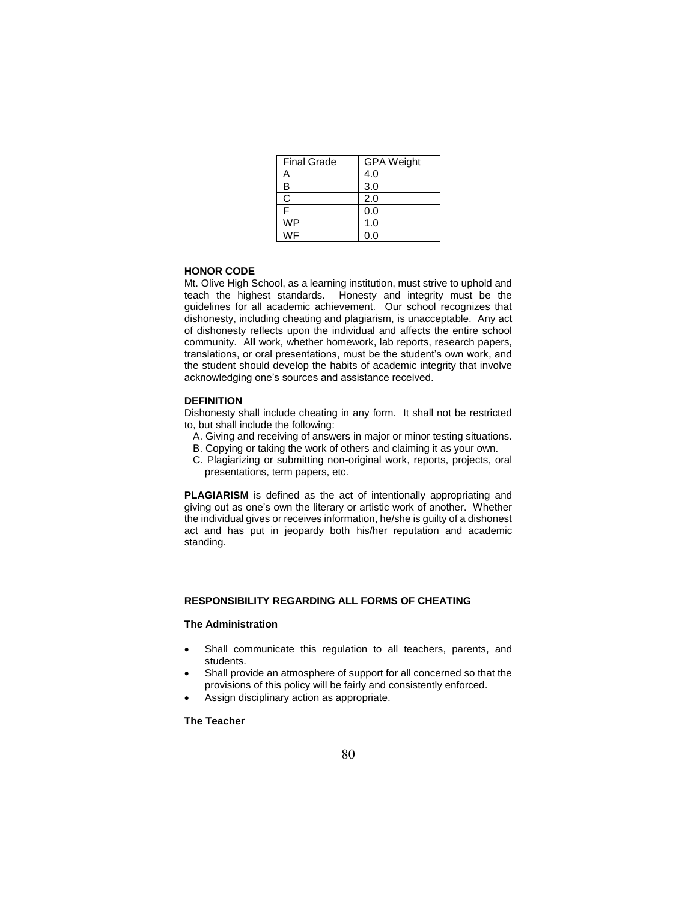| <b>Final Grade</b> | <b>GPA Weight</b> |  |  |
|--------------------|-------------------|--|--|
| А                  | 4.0               |  |  |
| B                  | 3.0               |  |  |
| С                  | 2.0               |  |  |
| F                  | 0.0               |  |  |
| WP                 | 1.0               |  |  |
| WE                 | 0.0               |  |  |

# **HONOR CODE**

Mt. Olive High School, as a learning institution, must strive to uphold and teach the highest standards. Honesty and integrity must be the guidelines for all academic achievement. Our school recognizes that dishonesty, including cheating and plagiarism, is unacceptable. Any act of dishonesty reflects upon the individual and affects the entire school community. Al**l** work, whether homework, lab reports, research papers, translations, or oral presentations, must be the student's own work, and the student should develop the habits of academic integrity that involve acknowledging one's sources and assistance received.

# **DEFINITION**

Dishonesty shall include cheating in any form. It shall not be restricted to, but shall include the following:

- A. Giving and receiving of answers in major or minor testing situations.
- B. Copying or taking the work of others and claiming it as your own.
- C. Plagiarizing or submitting non-original work, reports, projects, oral presentations, term papers, etc.

**PLAGIARISM** is defined as the act of intentionally appropriating and giving out as one's own the literary or artistic work of another. Whether the individual gives or receives information, he/she is guilty of a dishonest act and has put in jeopardy both his/her reputation and academic standing.

# **RESPONSIBILITY REGARDING ALL FORMS OF CHEATING**

# **The Administration**

- Shall communicate this regulation to all teachers, parents, and students.
- Shall provide an atmosphere of support for all concerned so that the provisions of this policy will be fairly and consistently enforced.
- Assign disciplinary action as appropriate.

# **The Teacher**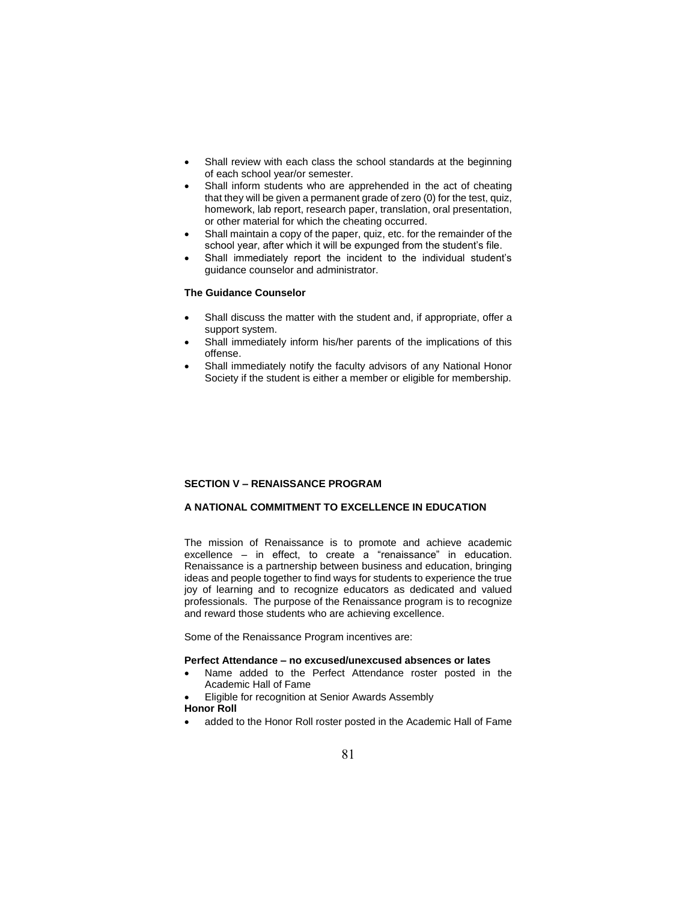- Shall review with each class the school standards at the beginning of each school year/or semester.
- Shall inform students who are apprehended in the act of cheating that they will be given a permanent grade of zero (0) for the test, quiz, homework, lab report, research paper, translation, oral presentation, or other material for which the cheating occurred.
- Shall maintain a copy of the paper, quiz, etc. for the remainder of the school year, after which it will be expunged from the student's file.
- Shall immediately report the incident to the individual student's guidance counselor and administrator.

# **The Guidance Counselor**

- Shall discuss the matter with the student and, if appropriate, offer a support system.
- Shall immediately inform his/her parents of the implications of this offense.
- Shall immediately notify the faculty advisors of any National Honor Society if the student is either a member or eligible for membership.

### **SECTION V – RENAISSANCE PROGRAM**

# **A NATIONAL COMMITMENT TO EXCELLENCE IN EDUCATION**

The mission of Renaissance is to promote and achieve academic excellence – in effect, to create a "renaissance" in education. Renaissance is a partnership between business and education, bringing ideas and people together to find ways for students to experience the true joy of learning and to recognize educators as dedicated and valued professionals. The purpose of the Renaissance program is to recognize and reward those students who are achieving excellence.

Some of the Renaissance Program incentives are:

#### **Perfect Attendance – no excused/unexcused absences or lates**

- Name added to the Perfect Attendance roster posted in the Academic Hall of Fame
- Eligible for recognition at Senior Awards Assembly
- **Honor Roll**
- added to the Honor Roll roster posted in the Academic Hall of Fame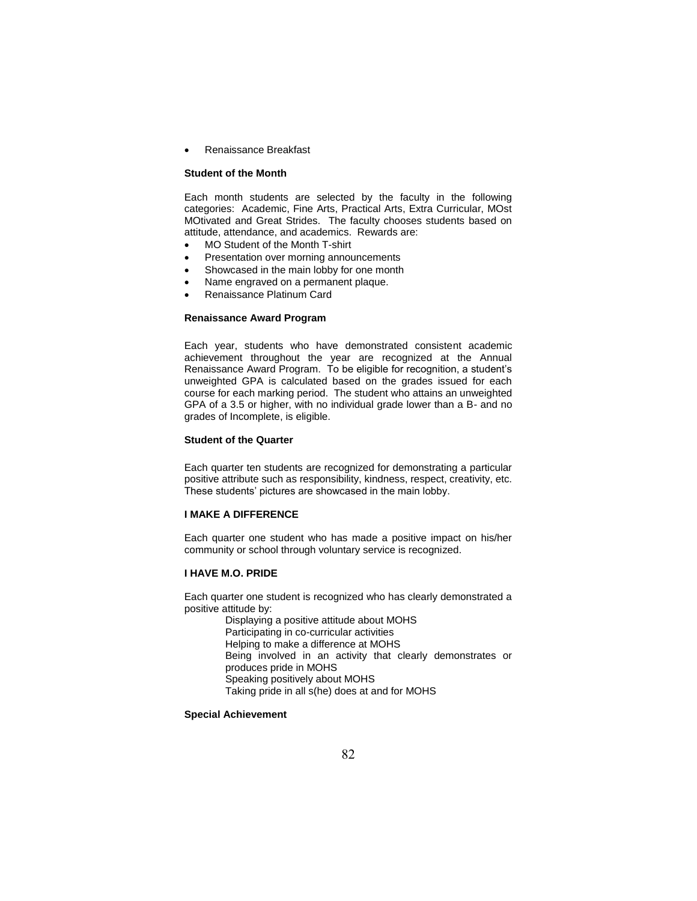Renaissance Breakfast

### **Student of the Month**

Each month students are selected by the faculty in the following categories: Academic, Fine Arts, Practical Arts, Extra Curricular, MOst MOtivated and Great Strides. The faculty chooses students based on attitude, attendance, and academics. Rewards are:

- MO Student of the Month T-shirt
- Presentation over morning announcements
- Showcased in the main lobby for one month
- Name engraved on a permanent plaque.
- Renaissance Platinum Card

## **Renaissance Award Program**

Each year, students who have demonstrated consistent academic achievement throughout the year are recognized at the Annual Renaissance Award Program. To be eligible for recognition, a student's unweighted GPA is calculated based on the grades issued for each course for each marking period. The student who attains an unweighted GPA of a 3.5 or higher, with no individual grade lower than a B- and no grades of Incomplete, is eligible.

#### **Student of the Quarter**

Each quarter ten students are recognized for demonstrating a particular positive attribute such as responsibility, kindness, respect, creativity, etc. These students' pictures are showcased in the main lobby.

# **I MAKE A DIFFERENCE**

Each quarter one student who has made a positive impact on his/her community or school through voluntary service is recognized.

## **I HAVE M.O. PRIDE**

Each quarter one student is recognized who has clearly demonstrated a positive attitude by:

> Displaying a positive attitude about MOHS Participating in co-curricular activities Helping to make a difference at MOHS Being involved in an activity that clearly demonstrates or produces pride in MOHS Speaking positively about MOHS Taking pride in all s(he) does at and for MOHS

# **Special Achievement**